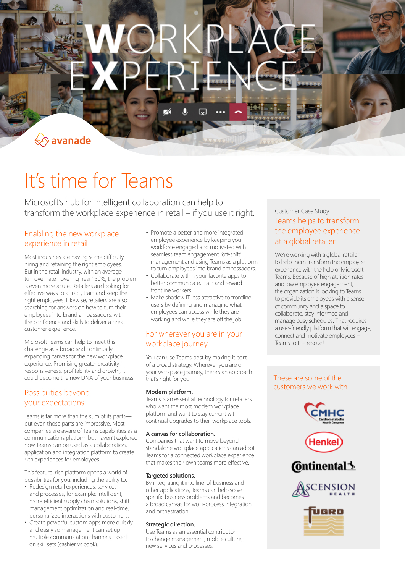$\overleftrightarrow{\Leftrightarrow}$  avanade

# It's time for Teams

Microsoft's hub for intelligent collaboration can help to transform the workplace experience in retail – if you use it right.

# Enabling the new workplace experience in retail

Most industries are having some difficulty hiring and retaining the right employees. But in the retail industry, with an average turnover rate hovering near 150%, the problem is even more acute. Retailers are looking for effective ways to attract, train and keep the right employees. Likewise, retailers are also searching for answers on how to turn their employees into brand ambassadors, with the confidence and skills to deliver a great customer experience.

Microsoft Teams can help to meet this challenge as a broad and continually expanding canvas for the new workplace experience. Promising greater creativity, responsiveness, profitability and growth, it could become the new DNA of your business.

# Possibilities beyond your expectations

Teams is far more than the sum of its parts but even those parts are impressive. Most companies are aware of Teams capabilities as a communications platform but haven't explored how Teams can be used as a collaboration, application and integration platform to create rich experiences for employees.

This feature-rich platform opens a world of possibilities for you, including the ability to:

- Redesign retail experiences, services and processes, for example: intelligent, more efficient supply chain solutions, shift management optimization and real-time, personalized interactions with customers.
- Create powerful custom apps more quickly and easily so management can set up multiple communication channels based on skill sets (cashier vs cook).
- Promote a better and more integrated employee experience by keeping your workforce engaged and motivated with seamless team engagement, 'off-shift' management and using Teams as a platform to turn employees into brand ambassadors.
- Collaborate within your favorite apps to better communicate, train and reward frontline workers.
- Make shadow IT less attractive to frontline users by defining and managing what employees can access while they are working and while they are off the job.

# For wherever you are in your workplace journey

You can use Teams best by making it part of a broad strategy. Wherever you are on your workplace journey, there's an approach that's right for you.

# **Modern platform.**

Teams is an essential technology for retailers who want the most modern workplace platform and want to stay current with continual upgrades to their workplace tools.

### **A canvas for collaboration.**

Companies that want to move beyond standalone workplace applications can adopt Teams for a connected workplace experience that makes their own teams more effective.

### **Targeted solutions.**

By integrating it into line-of-business and other applications, Teams can help solve specific business problems and becomes a broad canvas for work-process integration and orchestration.

### **Strategic direction.**

Use Teams as an essential contributor to change management, mobile culture, new services and processes.

# Customer Case Study Teams helps to transform the employee experience at a global retailer

We're working with a global retailer to help them transform the employee experience with the help of Microsoft Teams. Because of high attrition rates and low employee engagement, the organization is looking to Teams to provide its employees with a sense of community and a space to collaborate, stay informed and manage busy schedules. That requires a user-friendly platform that will engage, connect and motivate employees – Teams to the rescue!

# These are some of the customers we work with